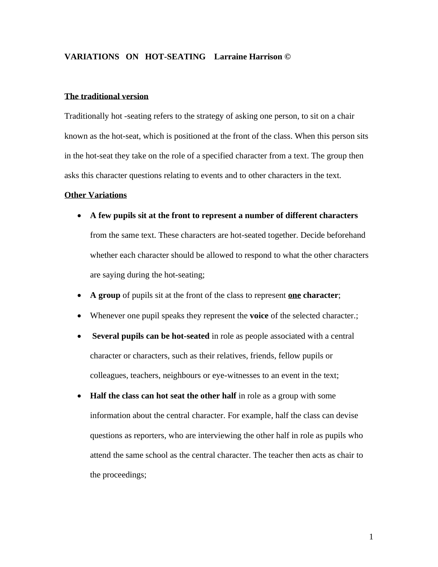# **VARIATIONS ON HOT-SEATING Larraine Harrison ©**

#### **The traditional version**

Traditionally hot -seating refers to the strategy of asking one person, to sit on a chair known as the hot-seat, which is positioned at the front of the class. When this person sits in the hot-seat they take on the role of a specified character from a text. The group then asks this character questions relating to events and to other characters in the text.

#### **Other Variations**

- **A few pupils sit at the front to represent a number of different characters** from the same text. These characters are hot-seated together. Decide beforehand whether each character should be allowed to respond to what the other characters are saying during the hot-seating;
- **A group** of pupils sit at the front of the class to represent **one character**;
- Whenever one pupil speaks they represent the **voice** of the selected character.;
- **Several pupils can be hot-seated** in role as people associated with a central character or characters, such as their relatives, friends, fellow pupils or colleagues, teachers, neighbours or eye-witnesses to an event in the text;
- **Half the class can hot seat the other half** in role as a group with some information about the central character. For example, half the class can devise questions as reporters, who are interviewing the other half in role as pupils who attend the same school as the central character. The teacher then acts as chair to the proceedings;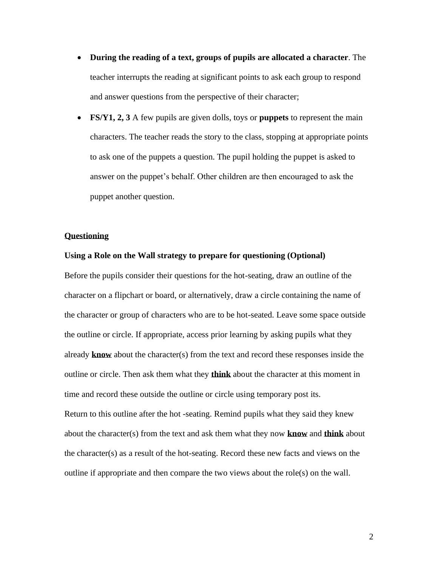- **During the reading of a text, groups of pupils are allocated a character**. The teacher interrupts the reading at significant points to ask each group to respond and answer questions from the perspective of their character;
- **FS/Y1, 2, 3** A few pupils are given dolls, toys or **puppets** to represent the main characters. The teacher reads the story to the class, stopping at appropriate points to ask one of the puppets a question. The pupil holding the puppet is asked to answer on the puppet's behalf. Other children are then encouraged to ask the puppet another question.

## **Questioning**

### **Using a Role on the Wall strategy to prepare for questioning (Optional)**

Before the pupils consider their questions for the hot-seating, draw an outline of the character on a flipchart or board, or alternatively, draw a circle containing the name of the character or group of characters who are to be hot-seated. Leave some space outside the outline or circle. If appropriate, access prior learning by asking pupils what they already **know** about the character(s) from the text and record these responses inside the outline or circle. Then ask them what they **think** about the character at this moment in time and record these outside the outline or circle using temporary post its. Return to this outline after the hot -seating. Remind pupils what they said they knew about the character(s) from the text and ask them what they now **know** and **think** about the character(s) as a result of the hot-seating. Record these new facts and views on the outline if appropriate and then compare the two views about the role(s) on the wall.